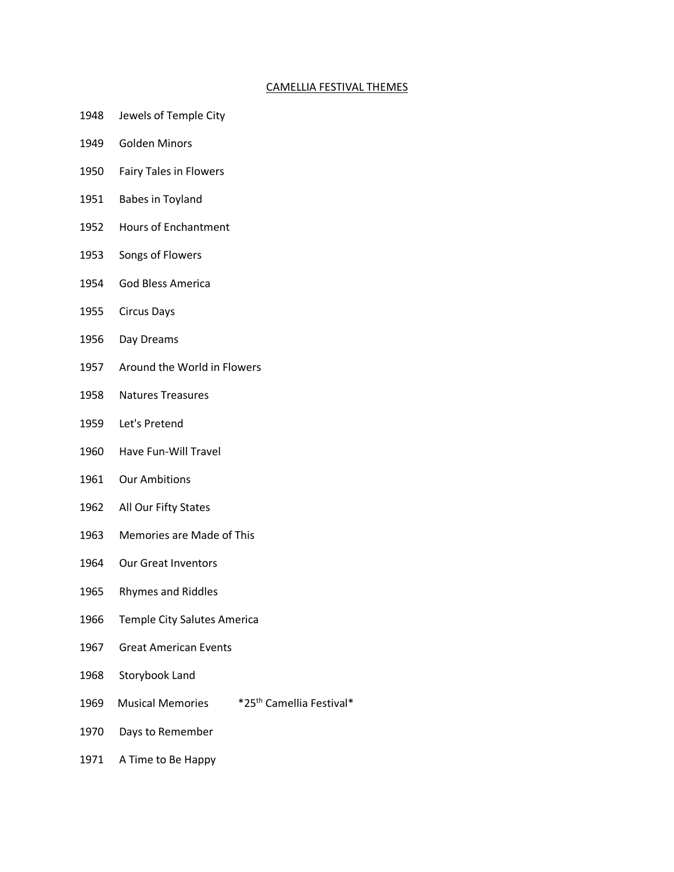## CAMELLIA FESTIVAL THEMES

- 1948 Jewels of Temple City
- 1949 Golden Minors
- 1950 Fairy Tales in Flowers
- 1951 Babes in Toyland
- 1952 Hours of Enchantment
- 1953 Songs of Flowers
- 1954 God Bless America
- 1955 Circus Days
- 1956 Day Dreams
- 1957 Around the World in Flowers
- 1958 Natures Treasures
- 1959 Let's Pretend
- 1960 Have Fun-Will Travel
- 1961 Our Ambitions
- 1962 All Our Fifty States
- 1963 Memories are Made of This
- 1964 Our Great Inventors
- 1965 Rhymes and Riddles
- 1966 Temple City Salutes America
- 1967 Great American Events
- 1968 Storybook Land
- 1969 Musical Memories \*25<sup>th</sup> Camellia Festival\*
- 1970 Days to Remember
- 1971 A Time to Be Happy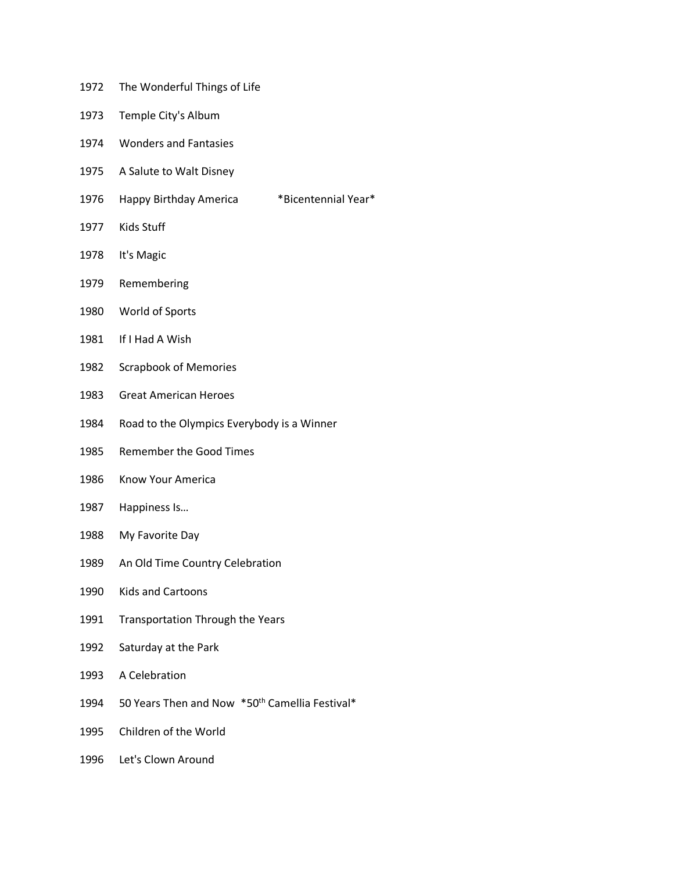- 1972 The Wonderful Things of Life
- 1973 Temple City's Album
- 1974 Wonders and Fantasies
- 1975 A Salute to Walt Disney
- 1976 Happy Birthday America \*Bicentennial Year\*
- 1977 Kids Stuff
- 1978 It's Magic
- 1979 Remembering
- 1980 World of Sports
- 1981 If I Had A Wish
- 1982 Scrapbook of Memories
- 1983 Great American Heroes
- 1984 Road to the Olympics Everybody is a Winner
- 1985 Remember the Good Times
- 1986 Know Your America
- 1987 Happiness Is…
- 1988 My Favorite Day
- 1989 An Old Time Country Celebration
- 1990 Kids and Cartoons
- 1991 Transportation Through the Years
- 1992 Saturday at the Park
- 1993 A Celebration
- 1994 50 Years Then and Now \*50<sup>th</sup> Camellia Festival\*
- 1995 Children of the World
- 1996 Let's Clown Around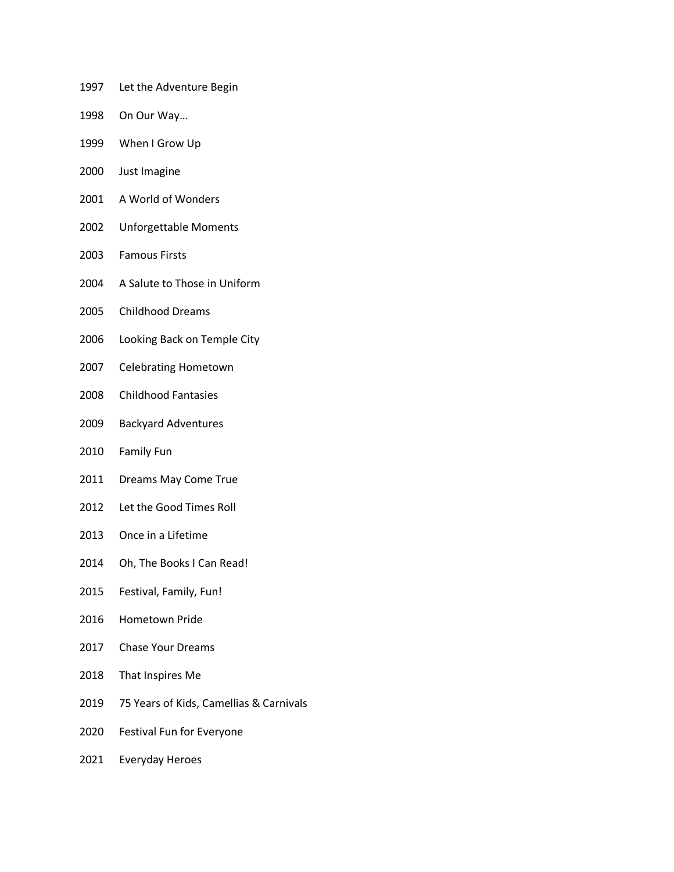- 1997 Let the Adventure Begin
- 1998 On Our Way…
- 1999 When I Grow Up
- 2000 Just Imagine
- 2001 A World of Wonders
- 2002 Unforgettable Moments
- 2003 Famous Firsts
- 2004 A Salute to Those in Uniform
- 2005 Childhood Dreams
- 2006 Looking Back on Temple City
- 2007 Celebrating Hometown
- 2008 Childhood Fantasies
- 2009 Backyard Adventures
- 2010 Family Fun
- 2011 Dreams May Come True
- 2012 Let the Good Times Roll
- 2013 Once in a Lifetime
- 2014 Oh, The Books I Can Read!
- 2015 Festival, Family, Fun!
- 2016 Hometown Pride
- 2017 Chase Your Dreams
- 2018 That Inspires Me
- 2019 75 Years of Kids, Camellias & Carnivals
- 2020 Festival Fun for Everyone
- 2021 Everyday Heroes